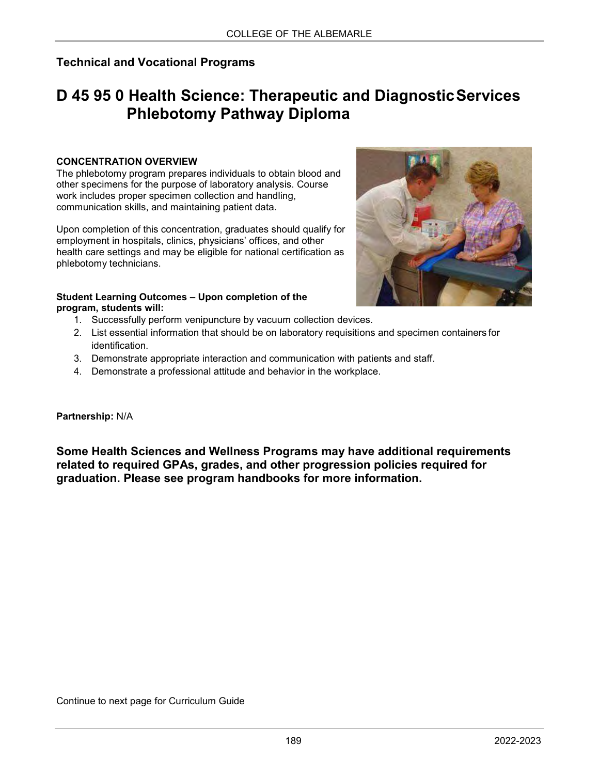## **Technical and Vocational Programs**

# **D 45 95 0 Health Science: Therapeutic and DiagnosticServices Phlebotomy Pathway Diploma**

#### **CONCENTRATION OVERVIEW**

The phlebotomy program prepares individuals to obtain blood and other specimens for the purpose of laboratory analysis. Course work includes proper specimen collection and handling, communication skills, and maintaining patient data.

Upon completion of this concentration, graduates should qualify for employment in hospitals, clinics, physicians' offices, and other health care settings and may be eligible for national certification as phlebotomy technicians.



- 1. Successfully perform venipuncture by vacuum collection devices.
- 2. List essential information that should be on laboratory requisitions and specimen containers for identification.
- 3. Demonstrate appropriate interaction and communication with patients and staff.
- 4. Demonstrate a professional attitude and behavior in the workplace.

#### **Partnership:** N/A

**Some Health Sciences and Wellness Programs may have additional requirements related to required GPAs, grades, and other progression policies required for graduation. Please see program handbooks for more information.**